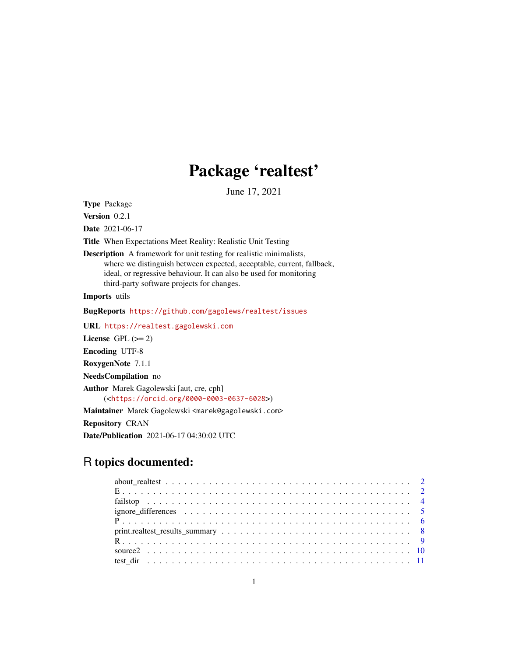# Package 'realtest'

June 17, 2021

<span id="page-0-0"></span>Type Package

Version 0.2.1

Date 2021-06-17

Title When Expectations Meet Reality: Realistic Unit Testing

Description A framework for unit testing for realistic minimalists, where we distinguish between expected, acceptable, current, fallback, ideal, or regressive behaviour. It can also be used for monitoring third-party software projects for changes.

Imports utils

BugReports <https://github.com/gagolews/realtest/issues>

URL <https://realtest.gagolewski.com>

License GPL  $(>= 2)$ 

Encoding UTF-8

RoxygenNote 7.1.1

NeedsCompilation no

Author Marek Gagolewski [aut, cre, cph] (<<https://orcid.org/0000-0003-0637-6028>>)

Maintainer Marek Gagolewski <marek@gagolewski.com>

Repository CRAN

Date/Publication 2021-06-17 04:30:02 UTC

# R topics documented: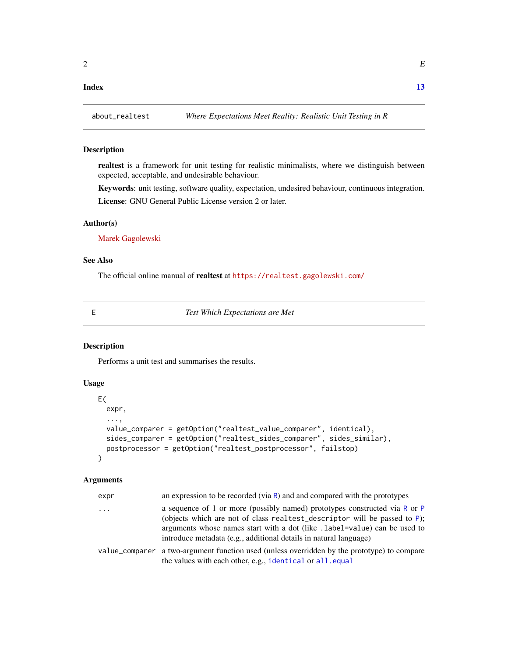#### <span id="page-1-0"></span>**Index** [13](#page-12-0)

# Description

realtest is a framework for unit testing for realistic minimalists, where we distinguish between expected, acceptable, and undesirable behaviour.

Keywords: unit testing, software quality, expectation, undesired behaviour, continuous integration. License: GNU General Public License version 2 or later.

# Author(s)

[Marek Gagolewski](https://www.gagolewski.com/)

# See Also

The official online manual of realtest at <https://realtest.gagolewski.com/>

<span id="page-1-1"></span>

E *Test Which Expectations are Met*

# Description

Performs a unit test and summarises the results.

# Usage

```
E(
  expr,
  ...,
  value_comparer = getOption("realtest_value_comparer", identical),
  sides_comparer = getOption("realtest_sides_comparer", sides_similar),
  postprocessor = getOption("realtest_postprocessor", failstop)
)
```
# Arguments

| expr | an expression to be recorded (via $R$ ) and and compared with the prototypes                                                                                                                                                                                                                                 |
|------|--------------------------------------------------------------------------------------------------------------------------------------------------------------------------------------------------------------------------------------------------------------------------------------------------------------|
| .    | a sequence of 1 or more (possibly named) prototypes constructed via R or P<br>(objects which are not of class realtest_descriptor will be passed to $P$ );<br>arguments whose names start with a dot (like .1abe1=va1ue) can be used to<br>introduce metadata (e.g., additional details in natural language) |
|      | value_comparer a two-argument function used (unless overridden by the prototype) to compare<br>the values with each other, e.g., identical or all. equal                                                                                                                                                     |
|      |                                                                                                                                                                                                                                                                                                              |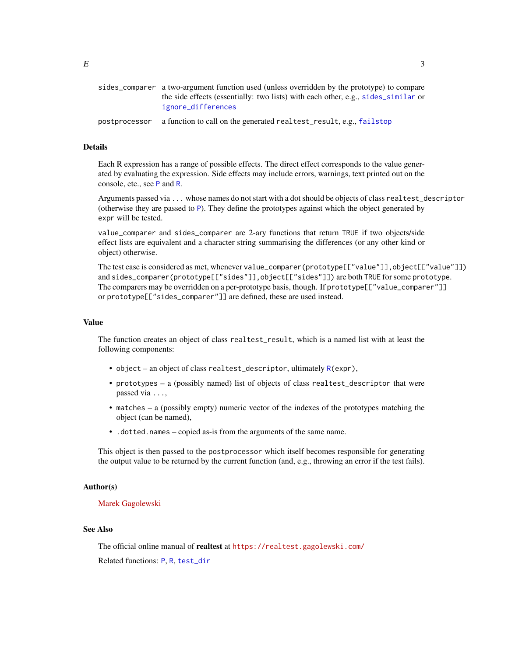<span id="page-2-0"></span>

|               | sides_comparer a two-argument function used (unless overridden by the prototype) to compare<br>the side effects (essentially: two lists) with each other, e.g., sides_similar or<br>ignore differences |
|---------------|--------------------------------------------------------------------------------------------------------------------------------------------------------------------------------------------------------|
| postprocessor | a function to call on the generated realtest_result, e.g., failstop                                                                                                                                    |

# Details

Each R expression has a range of possible effects. The direct effect corresponds to the value generated by evaluating the expression. Side effects may include errors, warnings, text printed out on the console, etc., see [P](#page-5-1) and [R](#page-8-1).

Arguments passed via ... whose names do not start with a dot should be objects of class realtest\_descriptor (otherwise they are passed to [P](#page-5-1)). They define the prototypes against which the object generated by expr will be tested.

value\_comparer and sides\_comparer are 2-ary functions that return TRUE if two objects/side effect lists are equivalent and a character string summarising the differences (or any other kind or object) otherwise.

The test case is considered as met, whenever value\_comparer(prototype[["value"]],object[["value"]]) and sides\_comparer(prototype[["sides"]],object[["sides"]]) are both TRUE for some prototype. The comparers may be overridden on a per-prototype basis, though. If prototype[["value\_comparer"]] or prototype[["sides\_comparer"]] are defined, these are used instead.

### Value

The function creates an object of class realtest\_result, which is a named list with at least the following components:

- object an object of class realtest\_descriptor, ultimately [R\(](#page-8-1)expr),
- prototypes a (possibly named) list of objects of class realtest\_descriptor that were passed via ...,
- matches a (possibly empty) numeric vector of the indexes of the prototypes matching the object (can be named),
- .dotted.names copied as-is from the arguments of the same name.

This object is then passed to the postprocessor which itself becomes responsible for generating the output value to be returned by the current function (and, e.g., throwing an error if the test fails).

#### Author(s)

#### [Marek Gagolewski](https://www.gagolewski.com/)

# See Also

The official online manual of realtest at <https://realtest.gagolewski.com/> Related functions: [P](#page-5-1), [R](#page-8-1), [test\\_dir](#page-10-1)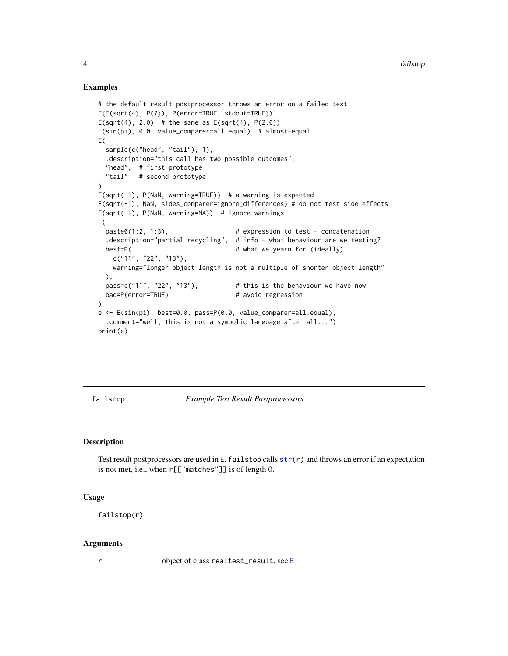#### Examples

```
# the default result postprocessor throws an error on a failed test:
E(E(sqrt(4), P(7)), P(error=TRUE, stdout=TRUE))
E(sqrt(4), 2.0) # the same as E(sqrt(4), P(2.0))E(sin(pi), 0.0, value_comparer=all.equal) # almost-equal
E(
 sample(c("head", "tail"), 1),
  .description="this call has two possible outcomes",
  "head", # first prototype
 "tail" # second prototype
\lambdaE(sqrt(-1), P(NaN, warning=TRUE)) # a warning is expected
E(sqrt(-1), NaN, sides_comparer=ignore_differences) # do not test side effects
E(sqrt(-1), P(NaN, warning=NA)) # ignore warnings
E(
 past(1:2, 1:3), # expression to test - concatenation.description="partial recycling", # info - what behaviour are we testing?
 best=P( \qquad # what we yearn for (ideally)
   c("11", "22", "13"),
   warning="longer object length is not a multiple of shorter object length"
 ),
 pass=c("11", "22", "13"), # this is the behaviour we have now
 bad=P(error=TRUE) # avoid regression
)
e <- E(sin(pi), best=0.0, pass=P(0.0, value_comparer=all.equal),
  .comment="well, this is not a symbolic language after all...")
print(e)
```
<span id="page-3-1"></span>failstop *Example Test Result Postprocessors*

# Description

Test result postprocessors are used in [E](#page-1-1). failstop calls  $str(r)$  $str(r)$  and throws an error if an expectation is not met, i.e., when r[["matches"]] is of length 0.

# Usage

failstop(r)

#### Arguments

r object of class realtest\_result, see [E](#page-1-1)

<span id="page-3-0"></span>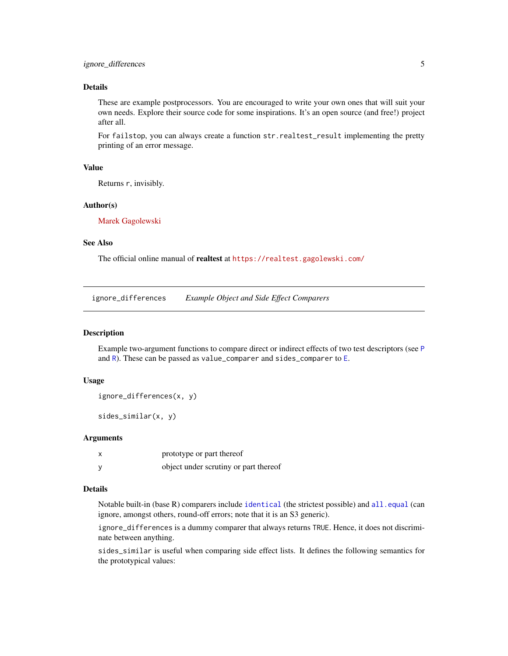# <span id="page-4-0"></span>Details

These are example postprocessors. You are encouraged to write your own ones that will suit your own needs. Explore their source code for some inspirations. It's an open source (and free!) project after all.

For failstop, you can always create a function str.realtest\_result implementing the pretty printing of an error message.

#### Value

Returns r, invisibly.

#### Author(s)

[Marek Gagolewski](https://www.gagolewski.com/)

# See Also

The official online manual of realtest at <https://realtest.gagolewski.com/>

<span id="page-4-2"></span>ignore\_differences *Example Object and Side Effect Comparers*

# <span id="page-4-1"></span>Description

Example two-argument functions to compare direct or indirect effects of two test descriptors (see [P](#page-5-1) and  $R$ ). These can be passed as value\_comparer and sides\_comparer to  $E$ .

# Usage

```
ignore_differences(x, y)
```
sides\_similar(x, y)

#### Arguments

|   | prototype or part thereof             |
|---|---------------------------------------|
| У | object under scrutiny or part thereof |

#### Details

Notable built-in (base R) comparers include [identical](#page-0-0) (the strictest possible) and [all.equal](#page-0-0) (can ignore, amongst others, round-off errors; note that it is an S3 generic).

ignore\_differences is a dummy comparer that always returns TRUE. Hence, it does not discriminate between anything.

sides\_similar is useful when comparing side effect lists. It defines the following semantics for the prototypical values: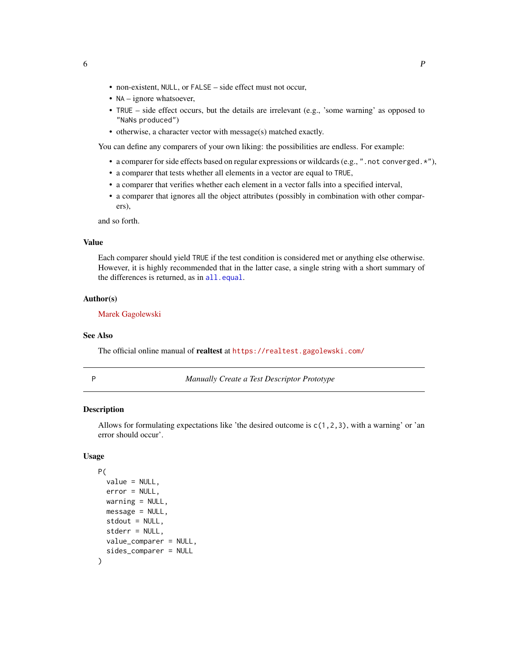- <span id="page-5-0"></span>• non-existent, NULL, or FALSE – side effect must not occur,
- NA ignore whatsoever,
- TRUE side effect occurs, but the details are irrelevant (e.g., 'some warning' as opposed to "NaNs produced")
- otherwise, a character vector with message(s) matched exactly.

You can define any comparers of your own liking: the possibilities are endless. For example:

- a comparer for side effects based on regular expressions or wildcards (e.g., ".not converged.\*"),
- a comparer that tests whether all elements in a vector are equal to TRUE,
- a comparer that verifies whether each element in a vector falls into a specified interval,
- a comparer that ignores all the object attributes (possibly in combination with other comparers),

and so forth.

# Value

Each comparer should yield TRUE if the test condition is considered met or anything else otherwise. However, it is highly recommended that in the latter case, a single string with a short summary of the differences is returned, as in [all.equal](#page-0-0).

#### Author(s)

[Marek Gagolewski](https://www.gagolewski.com/)

#### See Also

The official online manual of realtest at <https://realtest.gagolewski.com/>

<span id="page-5-1"></span>

P *Manually Create a Test Descriptor Prototype*

# Description

Allows for formulating expectations like 'the desired outcome is  $c(1,2,3)$ , with a warning' or 'an error should occur'.

### Usage

```
P(
  value = NULL,
  error = NULL,
  warning = NULL,
  message = NULL,
  stdout = NULL,
  stderr = NULL,
  value_comparer = NULL,
  sides_comparer = NULL
)
```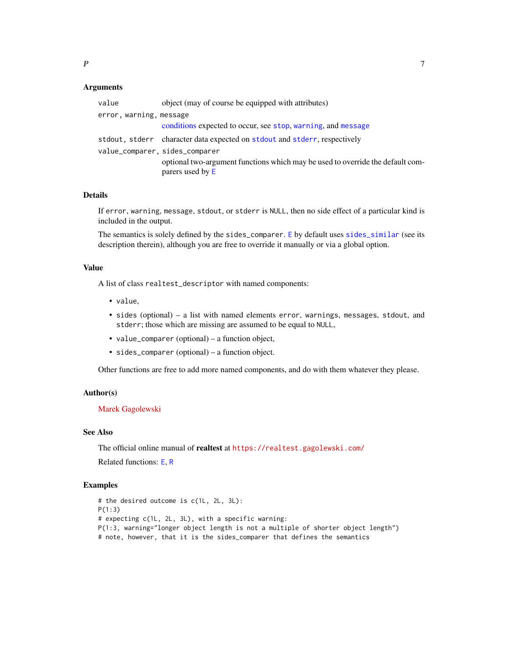# <span id="page-6-0"></span>Arguments

| value                          | object (may of course be equipped with attributes)                                                 |
|--------------------------------|----------------------------------------------------------------------------------------------------|
| error, warning, message        |                                                                                                    |
|                                | conditions expected to occur, see stop, warning, and message                                       |
|                                | stdout, stderr character data expected on stdout and stderr, respectively                          |
| value_comparer, sides_comparer |                                                                                                    |
|                                | optional two-argument functions which may be used to override the default com-<br>parers used by E |

#### Details

If error, warning, message, stdout, or stderr is NULL, then no side effect of a particular kind is included in the output.

The semantics is solely defined by the sides\_comparer. [E](#page-1-1) by default uses [sides\\_similar](#page-4-1) (see its description therein), although you are free to override it manually or via a global option.

# Value

A list of class realtest\_descriptor with named components:

- value,
- sides (optional) a list with named elements error, warnings, messages, stdout, and stderr; those which are missing are assumed to be equal to NULL,
- value\_comparer (optional) a function object,
- sides\_comparer (optional) a function object.

Other functions are free to add more named components, and do with them whatever they please.

#### Author(s)

[Marek Gagolewski](https://www.gagolewski.com/)

# See Also

The official online manual of realtest at <https://realtest.gagolewski.com/>

Related functions: [E](#page-1-1), [R](#page-8-1)

#### Examples

```
# the desired outcome is c(1L, 2L, 3L):
P(1:3)
# expecting c(1L, 2L, 3L), with a specific warning:
P(1:3, warning="longer object length is not a multiple of shorter object length")
# note, however, that it is the sides_comparer that defines the semantics
```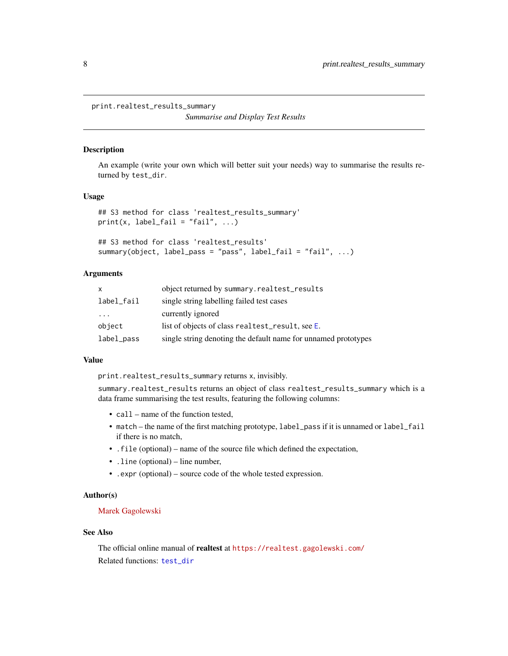<span id="page-7-0"></span>print.realtest\_results\_summary

*Summarise and Display Test Results*

# <span id="page-7-1"></span>Description

An example (write your own which will better suit your needs) way to summarise the results returned by test\_dir.

#### Usage

```
## S3 method for class 'realtest_results_summary'
print(x, label\_fail = "fail", ...)
```

```
## S3 method for class 'realtest_results'
summary(object, label_pass = "pass", label_fail = "fail", ...)
```
# Arguments

| X                       | object returned by summary.realtest_results                    |
|-------------------------|----------------------------------------------------------------|
| label_fail              | single string labelling failed test cases                      |
| $\cdot$ $\cdot$ $\cdot$ | currently ignored                                              |
| object                  | list of objects of class realtest_result, see E.               |
| label_pass              | single string denoting the default name for unnamed prototypes |

# Value

print.realtest\_results\_summary returns x, invisibly.

summary.realtest\_results returns an object of class realtest\_results\_summary which is a data frame summarising the test results, featuring the following columns:

- call name of the function tested,
- match the name of the first matching prototype, label\_pass if it is unnamed or label\_fail if there is no match,
- .file (optional) name of the source file which defined the expectation,
- . line (optional) line number,
- .expr (optional) source code of the whole tested expression.

#### Author(s)

#### [Marek Gagolewski](https://www.gagolewski.com/)

# See Also

The official online manual of realtest at <https://realtest.gagolewski.com/> Related functions: [test\\_dir](#page-10-1)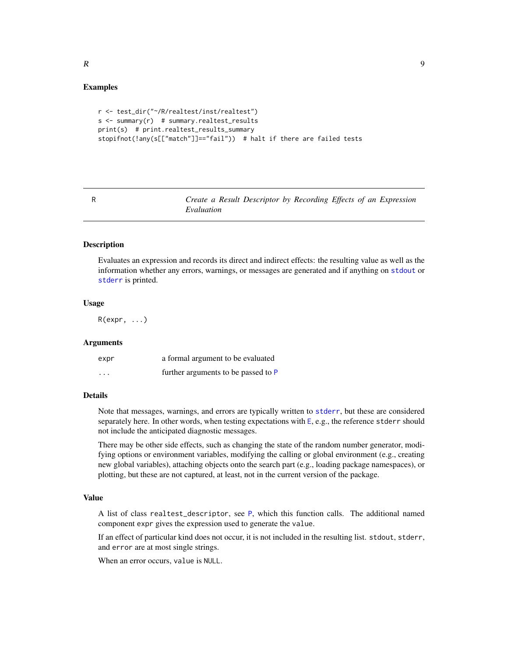# <span id="page-8-0"></span>Examples

```
r <- test_dir("~/R/realtest/inst/realtest")
s \leq -\text{summary}(r) # summary.realtest_results
print(s) # print.realtest_results_summary
stopifnot(!any(s[["match"]]=="fail")) # halt if there are failed tests
```
<span id="page-8-1"></span>R *Create a Result Descriptor by Recording Effects of an Expression Evaluation*

#### Description

Evaluates an expression and records its direct and indirect effects: the resulting value as well as the information whether any errors, warnings, or messages are generated and if anything on [stdout](#page-0-0) or [stderr](#page-0-0) is printed.

# Usage

 $R(expr, \ldots)$ 

#### Arguments

| expr     | a formal argument to be evaluated   |
|----------|-------------------------------------|
| $\cdots$ | further arguments to be passed to P |

#### Details

Note that messages, warnings, and errors are typically written to [stderr](#page-0-0), but these are considered separately here. In other words, when testing expectations with [E](#page-1-1), e.g., the reference stderr should not include the anticipated diagnostic messages.

There may be other side effects, such as changing the state of the random number generator, modifying options or environment variables, modifying the calling or global environment (e.g., creating new global variables), attaching objects onto the search part (e.g., loading package namespaces), or plotting, but these are not captured, at least, not in the current version of the package.

# Value

A list of class realtest\_descriptor, see [P](#page-5-1), which this function calls. The additional named component expr gives the expression used to generate the value.

If an effect of particular kind does not occur, it is not included in the resulting list. stdout, stderr, and error are at most single strings.

When an error occurs, value is NULL.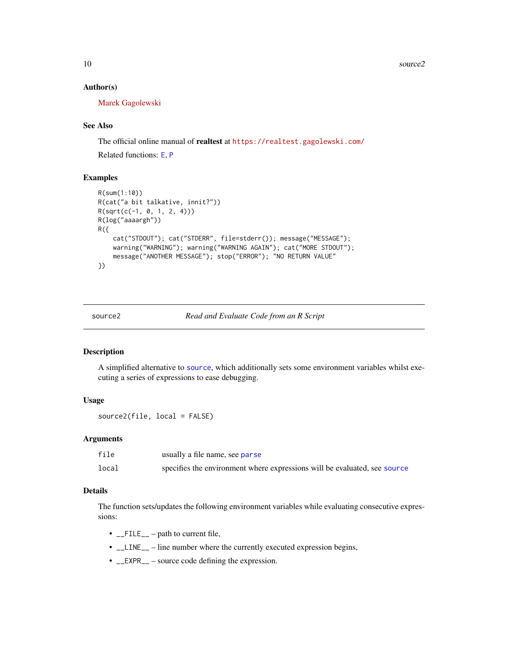10 source2

### Author(s)

[Marek Gagolewski](https://www.gagolewski.com/)

# See Also

The official online manual of realtest at <https://realtest.gagolewski.com/>

Related functions: [E](#page-1-1), [P](#page-5-1)

# Examples

```
R(sum(1:10))
R(cat("a bit talkative, innit?"))
R(sqrt(c(-1, 0, 1, 2, 4)))
R(log("aaaargh"))
R(f)cat("STDOUT"); cat("STDERR", file=stderr()); message("MESSAGE");
   warning("WARNING"); warning("WARNING AGAIN"); cat("MORE STDOUT");
    message("ANOTHER MESSAGE"); stop("ERROR"); "NO RETURN VALUE"
})
```
<span id="page-9-1"></span>

source2 *Read and Evaluate Code from an R Script*

#### Description

A simplified alternative to [source](#page-0-0), which additionally sets some environment variables whilst executing a series of expressions to ease debugging.

# Usage

```
source2(file, local = FALSE)
```
#### **Arguments**

| file  | usually a file name, see parse                                            |
|-------|---------------------------------------------------------------------------|
| local | specifies the environment where expressions will be evaluated, see source |

# Details

The function sets/updates the following environment variables while evaluating consecutive expressions:

- $\_FILE\_$  path to current file,
- $\angle$ LINE<sub>--</sub> line number where the currently executed expression begins,
- \_\_EXPR\_\_ source code defining the expression.

<span id="page-9-0"></span>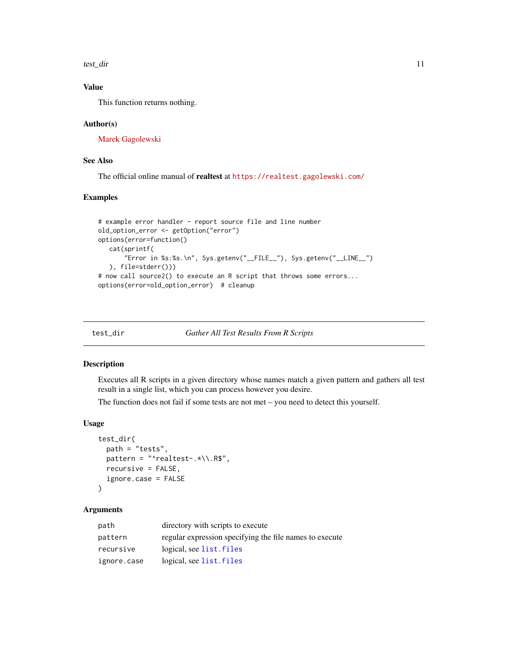<span id="page-10-0"></span>test\_dir 11

# Value

This function returns nothing.

#### Author(s)

[Marek Gagolewski](https://www.gagolewski.com/)

# See Also

The official online manual of realtest at <https://realtest.gagolewski.com/>

#### Examples

```
# example error handler - report source file and line number
old_option_error <- getOption("error")
options(error=function()
  cat(sprintf(
       "Error in %s:%s.\n", Sys.getenv("__FILE__"), Sys.getenv("__LINE__")
  ), file=stderr()))
# now call source2() to execute an R script that throws some errors...
options(error=old_option_error) # cleanup
```
<span id="page-10-1"></span>test\_dir *Gather All Test Results From R Scripts*

# Description

Executes all R scripts in a given directory whose names match a given pattern and gathers all test result in a single list, which you can process however you desire.

The function does not fail if some tests are not met – you need to detect this yourself.

# Usage

```
test_dir(
 path = "tests",
 pattern = "^{\prime}realtest-.*/\Lambda.R$",recursive = FALSE,
  ignore.case = FALSE
)
```
### Arguments

| path        | directory with scripts to execute                       |
|-------------|---------------------------------------------------------|
| pattern     | regular expression specifying the file names to execute |
| recursive   | logical, see list. files                                |
| ignore.case | logical, see list. files                                |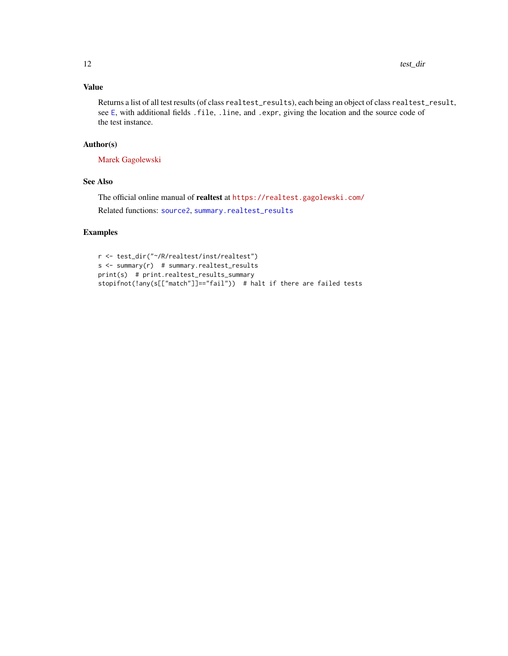# <span id="page-11-0"></span>Value

Returns a list of all test results (of class realtest\_results), each being an object of class realtest\_result, see [E](#page-1-1), with additional fields .file, .line, and .expr, giving the location and the source code of the test instance.

# Author(s)

[Marek Gagolewski](https://www.gagolewski.com/)

# See Also

The official online manual of realtest at <https://realtest.gagolewski.com/> Related functions: [source2](#page-9-1), [summary.realtest\\_results](#page-7-1)

# Examples

```
r <- test_dir("~/R/realtest/inst/realtest")
s <- summary(r) # summary.realtest_results
print(s) # print.realtest_results_summary
stopifnot(!any(s[["match"]]=="fail")) # halt if there are failed tests
```